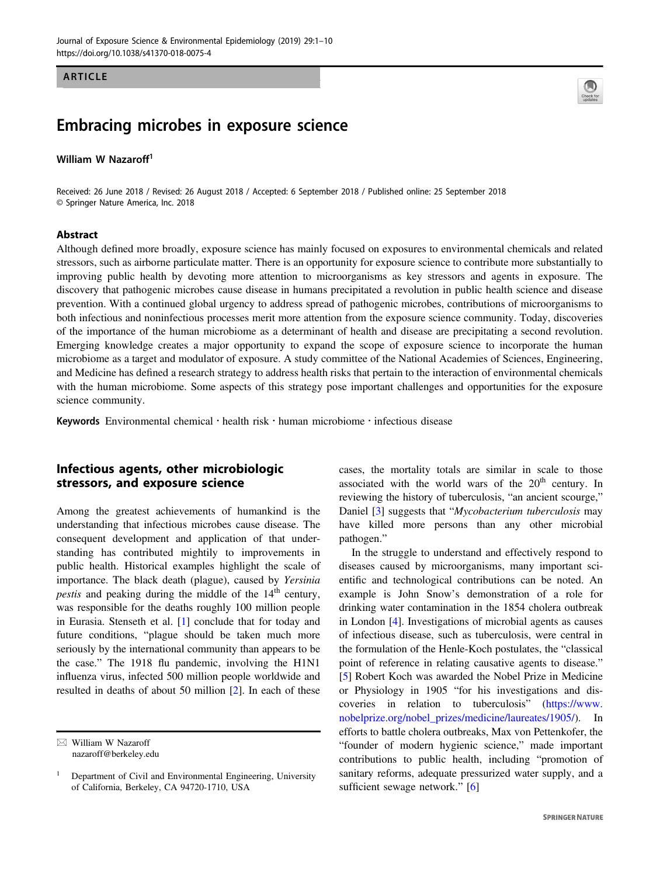#### ARTICLE

# Embracing microbes in exposure science

#### William W Nazaroff<sup>1</sup>

Received: 26 June 2018 / Revised: 26 August 2018 / Accepted: 6 September 2018 / Published online: 25 September 2018 © Springer Nature America, Inc. 2018

## Abstract

Although defined more broadly, exposure science has mainly focused on exposures to environmental chemicals and related stressors, such as airborne particulate matter. There is an opportunity for exposure science to contribute more substantially to improving public health by devoting more attention to microorganisms as key stressors and agents in exposure. The discovery that pathogenic microbes cause disease in humans precipitated a revolution in public health science and disease prevention. With a continued global urgency to address spread of pathogenic microbes, contributions of microorganisms to both infectious and noninfectious processes merit more attention from the exposure science community. Today, discoveries of the importance of the human microbiome as a determinant of health and disease are precipitating a second revolution. Emerging knowledge creates a major opportunity to expand the scope of exposure science to incorporate the human microbiome as a target and modulator of exposure. A study committee of the National Academies of Sciences, Engineering, and Medicine has defined a research strategy to address health risks that pertain to the interaction of environmental chemicals with the human microbiome. Some aspects of this strategy pose important challenges and opportunities for the exposure science community.

Keywords Environmental chemical · health risk · human microbiome · infectious disease

## Infectious agents, other microbiologic stressors, and exposure science

Among the greatest achievements of humankind is the understanding that infectious microbes cause disease. The consequent development and application of that understanding has contributed mightily to improvements in public health. Historical examples highlight the scale of importance. The black death (plague), caused by Yersinia *pestis* and peaking during the middle of the  $14<sup>th</sup>$  century, was responsible for the deaths roughly 100 million people in Eurasia. Stenseth et al. [\[1](#page-6-0)] conclude that for today and future conditions, "plague should be taken much more seriously by the international community than appears to be the case." The 1918 flu pandemic, involving the H1N1 influenza virus, infected 500 million people worldwide and resulted in deaths of about 50 million [\[2](#page-6-0)]. In each of these

 $\boxtimes$  William W Nazaroff [nazaroff@berkeley.edu](mailto:nazaroff@berkeley.edu) cases, the mortality totals are similar in scale to those associated with the world wars of the  $20<sup>th</sup>$  century. In reviewing the history of tuberculosis, "an ancient scourge," Daniel [\[3](#page-6-0)] suggests that "*Mycobacterium tuberculosis* may have killed more persons than any other microbial pathogen."

In the struggle to understand and effectively respond to diseases caused by microorganisms, many important scientific and technological contributions can be noted. An example is John Snow's demonstration of a role for drinking water contamination in the 1854 cholera outbreak in London [\[4](#page-6-0)]. Investigations of microbial agents as causes of infectious disease, such as tuberculosis, were central in the formulation of the Henle-Koch postulates, the "classical point of reference in relating causative agents to disease." [\[5](#page-6-0)] Robert Koch was awarded the Nobel Prize in Medicine or Physiology in 1905 "for his investigations and discoveries in relation to tuberculosis" ([https://www.](https://www.nobelprize.org/nobel_prizes/medicine/laureates/1905/) [nobelprize.org/nobel\\_prizes/medicine/laureates/1905/\)](https://www.nobelprize.org/nobel_prizes/medicine/laureates/1905/). In efforts to battle cholera outbreaks, Max von Pettenkofer, the "founder of modern hygienic science," made important contributions to public health, including "promotion of sanitary reforms, adequate pressurized water supply, and a sufficient sewage network." [\[6](#page-6-0)]



<sup>1</sup> Department of Civil and Environmental Engineering, University of California, Berkeley, CA 94720-1710, USA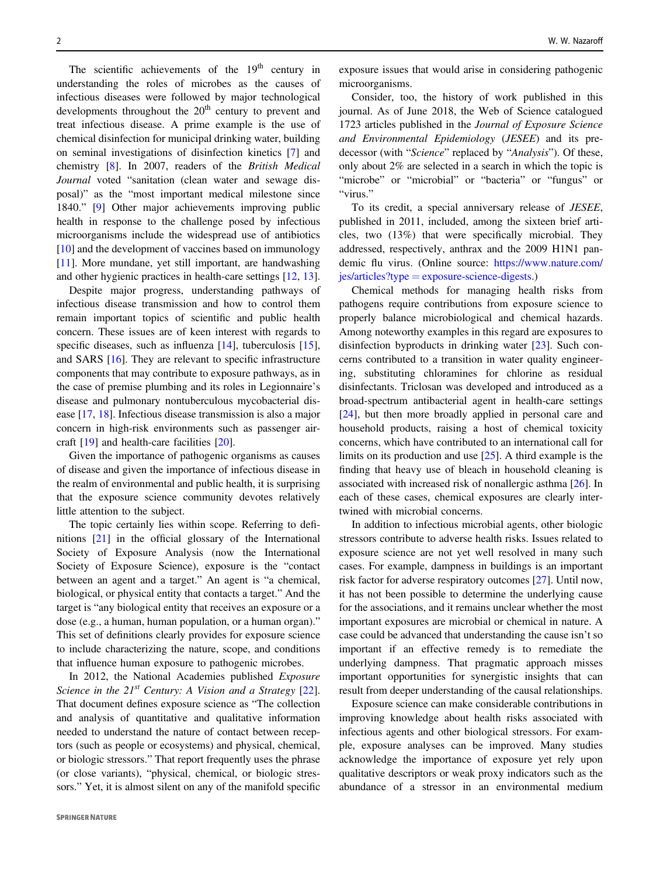The scientific achievements of the  $19<sup>th</sup>$  century in understanding the roles of microbes as the causes of infectious diseases were followed by major technological developments throughout the  $20<sup>th</sup>$  century to prevent and treat infectious disease. A prime example is the use of chemical disinfection for municipal drinking water, building on seminal investigations of disinfection kinetics [\[7](#page-6-0)] and chemistry [[8\]](#page-6-0). In 2007, readers of the British Medical Journal voted "sanitation (clean water and sewage disposal)" as the "most important medical milestone since 1840." [[9\]](#page-7-0) Other major achievements improving public health in response to the challenge posed by infectious microorganisms include the widespread use of antibiotics [\[10](#page-7-0)] and the development of vaccines based on immunology [\[11](#page-7-0)]. More mundane, yet still important, are handwashing and other hygienic practices in health-care settings [\[12](#page-7-0), [13](#page-7-0)].

Despite major progress, understanding pathways of infectious disease transmission and how to control them remain important topics of scientific and public health concern. These issues are of keen interest with regards to specific diseases, such as influenza [[14\]](#page-7-0), tuberculosis [\[15](#page-7-0)], and SARS [[16\]](#page-7-0). They are relevant to specific infrastructure components that may contribute to exposure pathways, as in the case of premise plumbing and its roles in Legionnaire's disease and pulmonary nontuberculous mycobacterial disease [[17,](#page-7-0) [18\]](#page-7-0). Infectious disease transmission is also a major concern in high-risk environments such as passenger aircraft [\[19](#page-7-0)] and health-care facilities [[20\]](#page-7-0).

Given the importance of pathogenic organisms as causes of disease and given the importance of infectious disease in the realm of environmental and public health, it is surprising that the exposure science community devotes relatively little attention to the subject.

The topic certainly lies within scope. Referring to definitions [[21\]](#page-7-0) in the official glossary of the International Society of Exposure Analysis (now the International Society of Exposure Science), exposure is the "contact between an agent and a target." An agent is "a chemical, biological, or physical entity that contacts a target." And the target is "any biological entity that receives an exposure or a dose (e.g., a human, human population, or a human organ)." This set of definitions clearly provides for exposure science to include characterizing the nature, scope, and conditions that influence human exposure to pathogenic microbes.

In 2012, the National Academies published Exposure Science in the  $21^{st}$  Century: A Vision and a Strategy [\[22](#page-7-0)]. That document defines exposure science as "The collection and analysis of quantitative and qualitative information needed to understand the nature of contact between receptors (such as people or ecosystems) and physical, chemical, or biologic stressors." That report frequently uses the phrase (or close variants), "physical, chemical, or biologic stressors." Yet, it is almost silent on any of the manifold specific exposure issues that would arise in considering pathogenic microorganisms.

Consider, too, the history of work published in this journal. As of June 2018, the Web of Science catalogued 1723 articles published in the Journal of Exposure Science and Environmental Epidemiology (JESEE) and its predecessor (with "Science" replaced by "Analysis"). Of these, only about 2% are selected in a search in which the topic is "microbe" or "microbial" or "bacteria" or "fungus" or "virus."

To its credit, a special anniversary release of JESEE, published in 2011, included, among the sixteen brief articles, two (13%) that were specifically microbial. They addressed, respectively, anthrax and the 2009 H1N1 pandemic flu virus. (Online source: [https://www.nature.com/](https://www.nature.com/jes/articles?type=exposure-science-digests)  $jes/articles?type = exposure-science-digests.)$  $jes/articles?type = exposure-science-digests.)$  $jes/articles?type = exposure-science-digests.)$ 

Chemical methods for managing health risks from pathogens require contributions from exposure science to properly balance microbiological and chemical hazards. Among noteworthy examples in this regard are exposures to disinfection byproducts in drinking water [\[23](#page-7-0)]. Such concerns contributed to a transition in water quality engineering, substituting chloramines for chlorine as residual disinfectants. Triclosan was developed and introduced as a broad-spectrum antibacterial agent in health-care settings [\[24](#page-7-0)], but then more broadly applied in personal care and household products, raising a host of chemical toxicity concerns, which have contributed to an international call for limits on its production and use [\[25](#page-7-0)]. A third example is the finding that heavy use of bleach in household cleaning is associated with increased risk of nonallergic asthma [[26\]](#page-7-0). In each of these cases, chemical exposures are clearly intertwined with microbial concerns.

In addition to infectious microbial agents, other biologic stressors contribute to adverse health risks. Issues related to exposure science are not yet well resolved in many such cases. For example, dampness in buildings is an important risk factor for adverse respiratory outcomes [[27\]](#page-7-0). Until now, it has not been possible to determine the underlying cause for the associations, and it remains unclear whether the most important exposures are microbial or chemical in nature. A case could be advanced that understanding the cause isn't so important if an effective remedy is to remediate the underlying dampness. That pragmatic approach misses important opportunities for synergistic insights that can result from deeper understanding of the causal relationships.

Exposure science can make considerable contributions in improving knowledge about health risks associated with infectious agents and other biological stressors. For example, exposure analyses can be improved. Many studies acknowledge the importance of exposure yet rely upon qualitative descriptors or weak proxy indicators such as the abundance of a stressor in an environmental medium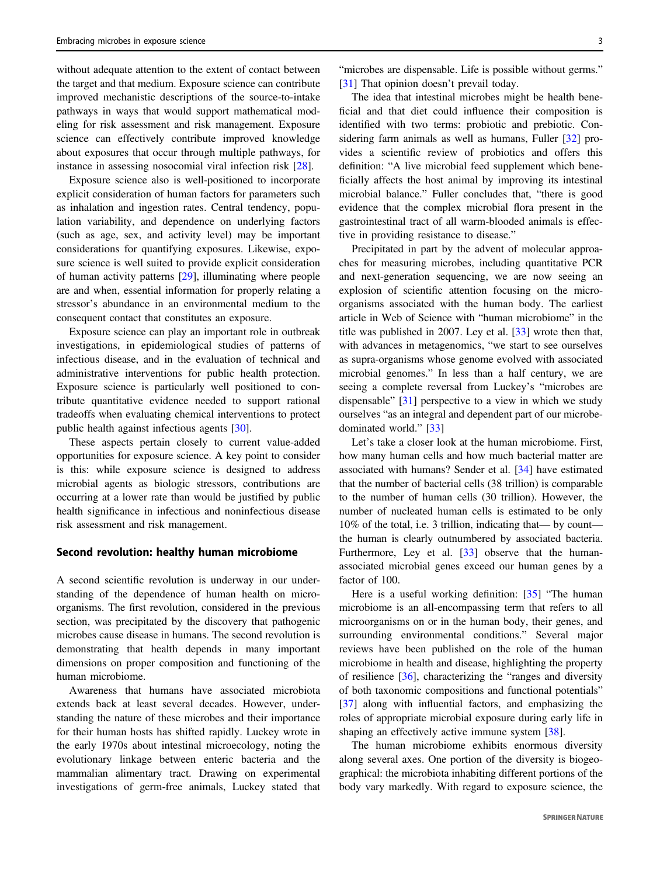without adequate attention to the extent of contact between the target and that medium. Exposure science can contribute improved mechanistic descriptions of the source-to-intake pathways in ways that would support mathematical modeling for risk assessment and risk management. Exposure science can effectively contribute improved knowledge about exposures that occur through multiple pathways, for instance in assessing nosocomial viral infection risk [[28\]](#page-7-0).

Exposure science also is well-positioned to incorporate explicit consideration of human factors for parameters such as inhalation and ingestion rates. Central tendency, population variability, and dependence on underlying factors (such as age, sex, and activity level) may be important considerations for quantifying exposures. Likewise, exposure science is well suited to provide explicit consideration of human activity patterns [\[29](#page-7-0)], illuminating where people are and when, essential information for properly relating a stressor's abundance in an environmental medium to the consequent contact that constitutes an exposure.

Exposure science can play an important role in outbreak investigations, in epidemiological studies of patterns of infectious disease, and in the evaluation of technical and administrative interventions for public health protection. Exposure science is particularly well positioned to contribute quantitative evidence needed to support rational tradeoffs when evaluating chemical interventions to protect public health against infectious agents [[30\]](#page-7-0).

These aspects pertain closely to current value-added opportunities for exposure science. A key point to consider is this: while exposure science is designed to address microbial agents as biologic stressors, contributions are occurring at a lower rate than would be justified by public health significance in infectious and noninfectious disease risk assessment and risk management.

#### Second revolution: healthy human microbiome

A second scientific revolution is underway in our understanding of the dependence of human health on microorganisms. The first revolution, considered in the previous section, was precipitated by the discovery that pathogenic microbes cause disease in humans. The second revolution is demonstrating that health depends in many important dimensions on proper composition and functioning of the human microbiome.

Awareness that humans have associated microbiota extends back at least several decades. However, understanding the nature of these microbes and their importance for their human hosts has shifted rapidly. Luckey wrote in the early 1970s about intestinal microecology, noting the evolutionary linkage between enteric bacteria and the mammalian alimentary tract. Drawing on experimental investigations of germ-free animals, Luckey stated that

"microbes are dispensable. Life is possible without germs." [\[31](#page-7-0)] That opinion doesn't prevail today.

The idea that intestinal microbes might be health beneficial and that diet could influence their composition is identified with two terms: probiotic and prebiotic. Con-sidering farm animals as well as humans, Fuller [[32\]](#page-7-0) provides a scientific review of probiotics and offers this definition: "A live microbial feed supplement which beneficially affects the host animal by improving its intestinal microbial balance." Fuller concludes that, "there is good evidence that the complex microbial flora present in the gastrointestinal tract of all warm-blooded animals is effective in providing resistance to disease."

Precipitated in part by the advent of molecular approaches for measuring microbes, including quantitative PCR and next-generation sequencing, we are now seeing an explosion of scientific attention focusing on the microorganisms associated with the human body. The earliest article in Web of Science with "human microbiome" in the title was published in 2007. Ley et al. [\[33](#page-7-0)] wrote then that, with advances in metagenomics, "we start to see ourselves as supra-organisms whose genome evolved with associated microbial genomes." In less than a half century, we are seeing a complete reversal from Luckey's "microbes are dispensable" [\[31](#page-7-0)] perspective to a view in which we study ourselves "as an integral and dependent part of our microbedominated world." [[33\]](#page-7-0)

Let's take a closer look at the human microbiome. First, how many human cells and how much bacterial matter are associated with humans? Sender et al. [[34\]](#page-7-0) have estimated that the number of bacterial cells (38 trillion) is comparable to the number of human cells (30 trillion). However, the number of nucleated human cells is estimated to be only 10% of the total, i.e. 3 trillion, indicating that— by count the human is clearly outnumbered by associated bacteria. Furthermore, Ley et al. [\[33](#page-7-0)] observe that the humanassociated microbial genes exceed our human genes by a factor of 100.

Here is a useful working definition: [\[35](#page-7-0)] "The human microbiome is an all-encompassing term that refers to all microorganisms on or in the human body, their genes, and surrounding environmental conditions." Several major reviews have been published on the role of the human microbiome in health and disease, highlighting the property of resilience [[36\]](#page-7-0), characterizing the "ranges and diversity of both taxonomic compositions and functional potentials" [\[37](#page-7-0)] along with influential factors, and emphasizing the roles of appropriate microbial exposure during early life in shaping an effectively active immune system [[38\]](#page-7-0).

The human microbiome exhibits enormous diversity along several axes. One portion of the diversity is biogeographical: the microbiota inhabiting different portions of the body vary markedly. With regard to exposure science, the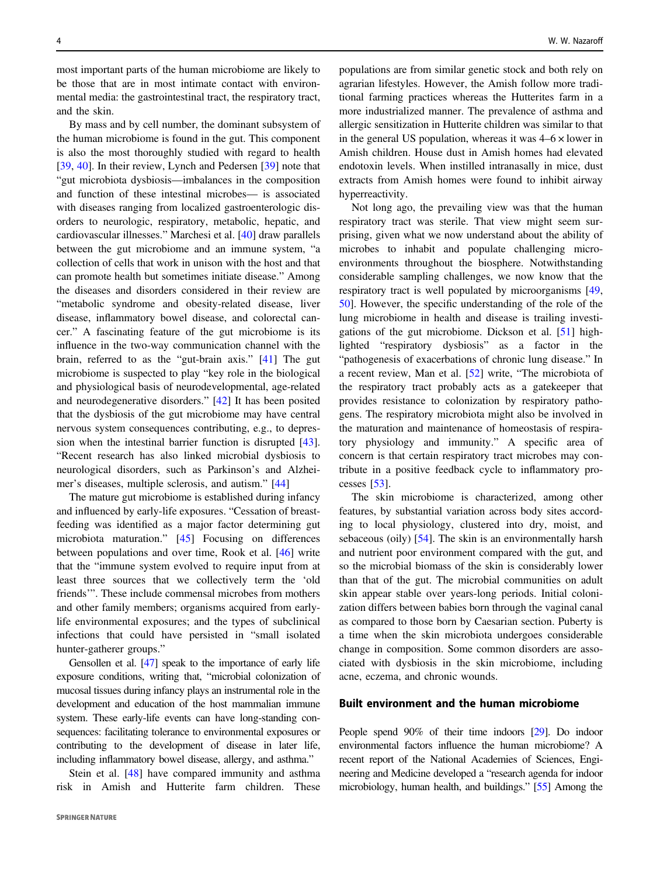most important parts of the human microbiome are likely to be those that are in most intimate contact with environmental media: the gastrointestinal tract, the respiratory tract, and the skin.

By mass and by cell number, the dominant subsystem of the human microbiome is found in the gut. This component is also the most thoroughly studied with regard to health [\[39](#page-7-0), [40](#page-7-0)]. In their review, Lynch and Pedersen [[39\]](#page-7-0) note that "gut microbiota dysbiosis—imbalances in the composition and function of these intestinal microbes— is associated with diseases ranging from localized gastroenterologic disorders to neurologic, respiratory, metabolic, hepatic, and cardiovascular illnesses." Marchesi et al. [[40\]](#page-7-0) draw parallels between the gut microbiome and an immune system, "a collection of cells that work in unison with the host and that can promote health but sometimes initiate disease." Among the diseases and disorders considered in their review are "metabolic syndrome and obesity-related disease, liver disease, inflammatory bowel disease, and colorectal cancer." A fascinating feature of the gut microbiome is its influence in the two-way communication channel with the brain, referred to as the "gut-brain axis." [\[41](#page-7-0)] The gut microbiome is suspected to play "key role in the biological and physiological basis of neurodevelopmental, age-related and neurodegenerative disorders." [\[42](#page-7-0)] It has been posited that the dysbiosis of the gut microbiome may have central nervous system consequences contributing, e.g., to depression when the intestinal barrier function is disrupted [\[43](#page-7-0)]. "Recent research has also linked microbial dysbiosis to neurological disorders, such as Parkinson's and Alzheimer's diseases, multiple sclerosis, and autism." [\[44](#page-7-0)]

The mature gut microbiome is established during infancy and influenced by early-life exposures. "Cessation of breastfeeding was identified as a major factor determining gut microbiota maturation." [\[45](#page-7-0)] Focusing on differences between populations and over time, Rook et al. [\[46](#page-7-0)] write that the "immune system evolved to require input from at least three sources that we collectively term the 'old friends'". These include commensal microbes from mothers and other family members; organisms acquired from earlylife environmental exposures; and the types of subclinical infections that could have persisted in "small isolated hunter-gatherer groups."

Gensollen et al. [\[47](#page-7-0)] speak to the importance of early life exposure conditions, writing that, "microbial colonization of mucosal tissues during infancy plays an instrumental role in the development and education of the host mammalian immune system. These early-life events can have long-standing consequences: facilitating tolerance to environmental exposures or contributing to the development of disease in later life, including inflammatory bowel disease, allergy, and asthma."

Stein et al. [[48\]](#page-7-0) have compared immunity and asthma risk in Amish and Hutterite farm children. These populations are from similar genetic stock and both rely on agrarian lifestyles. However, the Amish follow more traditional farming practices whereas the Hutterites farm in a more industrialized manner. The prevalence of asthma and allergic sensitization in Hutterite children was similar to that in the general US population, whereas it was  $4-6 \times$  lower in Amish children. House dust in Amish homes had elevated endotoxin levels. When instilled intranasally in mice, dust extracts from Amish homes were found to inhibit airway hyperreactivity.

Not long ago, the prevailing view was that the human respiratory tract was sterile. That view might seem surprising, given what we now understand about the ability of microbes to inhabit and populate challenging microenvironments throughout the biosphere. Notwithstanding considerable sampling challenges, we now know that the respiratory tract is well populated by microorganisms [[49,](#page-7-0) [50](#page-7-0)]. However, the specific understanding of the role of the lung microbiome in health and disease is trailing investigations of the gut microbiome. Dickson et al. [[51\]](#page-7-0) highlighted "respiratory dysbiosis" as a factor in the "pathogenesis of exacerbations of chronic lung disease." In a recent review, Man et al. [\[52](#page-7-0)] write, "The microbiota of the respiratory tract probably acts as a gatekeeper that provides resistance to colonization by respiratory pathogens. The respiratory microbiota might also be involved in the maturation and maintenance of homeostasis of respiratory physiology and immunity." A specific area of concern is that certain respiratory tract microbes may contribute in a positive feedback cycle to inflammatory processes [\[53](#page-8-0)].

The skin microbiome is characterized, among other features, by substantial variation across body sites according to local physiology, clustered into dry, moist, and sebaceous (oily) [\[54](#page-8-0)]. The skin is an environmentally harsh and nutrient poor environment compared with the gut, and so the microbial biomass of the skin is considerably lower than that of the gut. The microbial communities on adult skin appear stable over years-long periods. Initial colonization differs between babies born through the vaginal canal as compared to those born by Caesarian section. Puberty is a time when the skin microbiota undergoes considerable change in composition. Some common disorders are associated with dysbiosis in the skin microbiome, including acne, eczema, and chronic wounds.

#### Built environment and the human microbiome

People spend 90% of their time indoors [\[29\]](#page-7-0). Do indoor environmental factors influence the human microbiome? A recent report of the National Academies of Sciences, Engineering and Medicine developed a "research agenda for indoor microbiology, human health, and buildings." [[55](#page-8-0)] Among the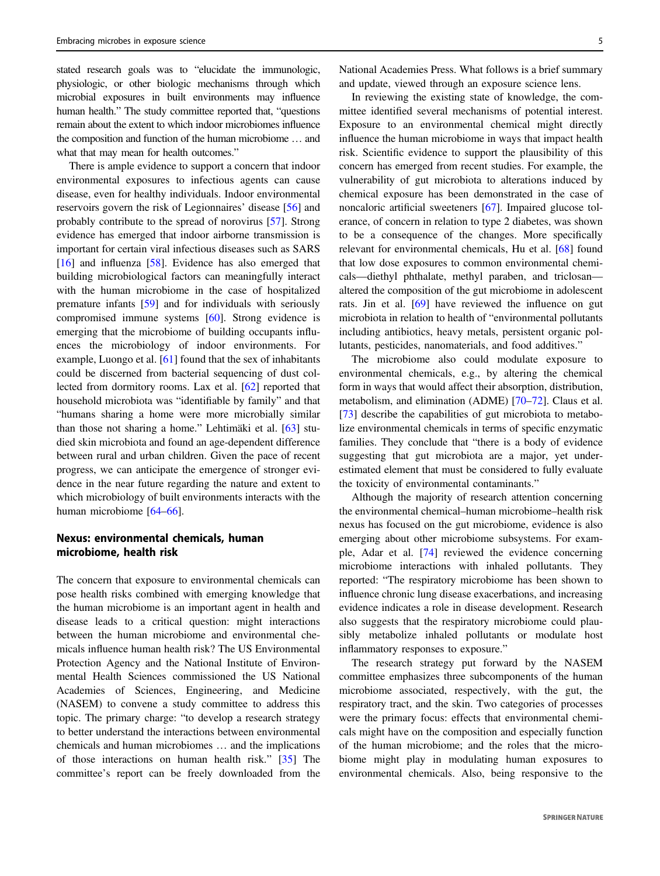stated research goals was to "elucidate the immunologic, physiologic, or other biologic mechanisms through which microbial exposures in built environments may influence human health." The study committee reported that, "questions remain about the extent to which indoor microbiomes influence the composition and function of the human microbiome … and what that may mean for health outcomes."

There is ample evidence to support a concern that indoor environmental exposures to infectious agents can cause disease, even for healthy individuals. Indoor environmental reservoirs govern the risk of Legionnaires' disease [[56\]](#page-8-0) and probably contribute to the spread of norovirus [[57\]](#page-8-0). Strong evidence has emerged that indoor airborne transmission is important for certain viral infectious diseases such as SARS [\[16](#page-7-0)] and influenza [\[58](#page-8-0)]. Evidence has also emerged that building microbiological factors can meaningfully interact with the human microbiome in the case of hospitalized premature infants [\[59](#page-8-0)] and for individuals with seriously compromised immune systems [[60\]](#page-8-0). Strong evidence is emerging that the microbiome of building occupants influences the microbiology of indoor environments. For example, Luongo et al. [\[61](#page-8-0)] found that the sex of inhabitants could be discerned from bacterial sequencing of dust collected from dormitory rooms. Lax et al. [\[62](#page-8-0)] reported that household microbiota was "identifiable by family" and that "humans sharing a home were more microbially similar than those not sharing a home." Lehtimäki et al. [\[63](#page-8-0)] studied skin microbiota and found an age-dependent difference between rural and urban children. Given the pace of recent progress, we can anticipate the emergence of stronger evidence in the near future regarding the nature and extent to which microbiology of built environments interacts with the human microbiome [[64](#page-8-0)–[66\]](#page-8-0).

# Nexus: environmental chemicals, human microbiome, health risk

The concern that exposure to environmental chemicals can pose health risks combined with emerging knowledge that the human microbiome is an important agent in health and disease leads to a critical question: might interactions between the human microbiome and environmental chemicals influence human health risk? The US Environmental Protection Agency and the National Institute of Environmental Health Sciences commissioned the US National Academies of Sciences, Engineering, and Medicine (NASEM) to convene a study committee to address this topic. The primary charge: "to develop a research strategy to better understand the interactions between environmental chemicals and human microbiomes … and the implications of those interactions on human health risk." [\[35](#page-7-0)] The committee's report can be freely downloaded from the National Academies Press. What follows is a brief summary and update, viewed through an exposure science lens.

In reviewing the existing state of knowledge, the committee identified several mechanisms of potential interest. Exposure to an environmental chemical might directly influence the human microbiome in ways that impact health risk. Scientific evidence to support the plausibility of this concern has emerged from recent studies. For example, the vulnerability of gut microbiota to alterations induced by chemical exposure has been demonstrated in the case of noncaloric artificial sweeteners [\[67](#page-8-0)]. Impaired glucose tolerance, of concern in relation to type 2 diabetes, was shown to be a consequence of the changes. More specifically relevant for environmental chemicals, Hu et al. [\[68](#page-8-0)] found that low dose exposures to common environmental chemicals—diethyl phthalate, methyl paraben, and triclosan altered the composition of the gut microbiome in adolescent rats. Jin et al. [[69\]](#page-8-0) have reviewed the influence on gut microbiota in relation to health of "environmental pollutants including antibiotics, heavy metals, persistent organic pollutants, pesticides, nanomaterials, and food additives."

The microbiome also could modulate exposure to environmental chemicals, e.g., by altering the chemical form in ways that would affect their absorption, distribution, metabolism, and elimination (ADME) [\[70](#page-8-0)–[72](#page-8-0)]. Claus et al. [\[73](#page-8-0)] describe the capabilities of gut microbiota to metabolize environmental chemicals in terms of specific enzymatic families. They conclude that "there is a body of evidence suggesting that gut microbiota are a major, yet underestimated element that must be considered to fully evaluate the toxicity of environmental contaminants."

Although the majority of research attention concerning the environmental chemical–human microbiome–health risk nexus has focused on the gut microbiome, evidence is also emerging about other microbiome subsystems. For example, Adar et al. [[74\]](#page-8-0) reviewed the evidence concerning microbiome interactions with inhaled pollutants. They reported: "The respiratory microbiome has been shown to influence chronic lung disease exacerbations, and increasing evidence indicates a role in disease development. Research also suggests that the respiratory microbiome could plausibly metabolize inhaled pollutants or modulate host inflammatory responses to exposure."

The research strategy put forward by the NASEM committee emphasizes three subcomponents of the human microbiome associated, respectively, with the gut, the respiratory tract, and the skin. Two categories of processes were the primary focus: effects that environmental chemicals might have on the composition and especially function of the human microbiome; and the roles that the microbiome might play in modulating human exposures to environmental chemicals. Also, being responsive to the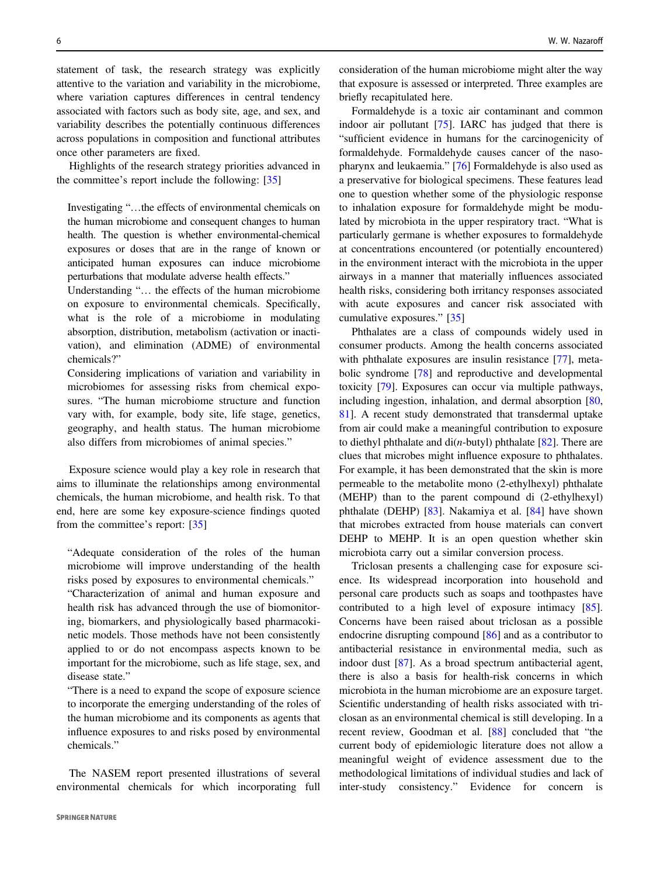statement of task, the research strategy was explicitly attentive to the variation and variability in the microbiome, where variation captures differences in central tendency associated with factors such as body site, age, and sex, and variability describes the potentially continuous differences across populations in composition and functional attributes once other parameters are fixed.

Highlights of the research strategy priorities advanced in the committee's report include the following: [[35\]](#page-7-0)

Investigating "…the effects of environmental chemicals on the human microbiome and consequent changes to human health. The question is whether environmental-chemical exposures or doses that are in the range of known or anticipated human exposures can induce microbiome perturbations that modulate adverse health effects."

Understanding "… the effects of the human microbiome on exposure to environmental chemicals. Specifically, what is the role of a microbiome in modulating absorption, distribution, metabolism (activation or inactivation), and elimination (ADME) of environmental chemicals?"

Considering implications of variation and variability in microbiomes for assessing risks from chemical exposures. "The human microbiome structure and function vary with, for example, body site, life stage, genetics, geography, and health status. The human microbiome also differs from microbiomes of animal species."

Exposure science would play a key role in research that aims to illuminate the relationships among environmental chemicals, the human microbiome, and health risk. To that end, here are some key exposure-science findings quoted from the committee's report: [[35\]](#page-7-0)

"Adequate consideration of the roles of the human microbiome will improve understanding of the health risks posed by exposures to environmental chemicals."

"Characterization of animal and human exposure and health risk has advanced through the use of biomonitoring, biomarkers, and physiologically based pharmacokinetic models. Those methods have not been consistently applied to or do not encompass aspects known to be important for the microbiome, such as life stage, sex, and disease state."

"There is a need to expand the scope of exposure science to incorporate the emerging understanding of the roles of the human microbiome and its components as agents that influence exposures to and risks posed by environmental chemicals."

The NASEM report presented illustrations of several environmental chemicals for which incorporating full consideration of the human microbiome might alter the way that exposure is assessed or interpreted. Three examples are briefly recapitulated here.

Formaldehyde is a toxic air contaminant and common indoor air pollutant [\[75](#page-8-0)]. IARC has judged that there is "sufficient evidence in humans for the carcinogenicity of formaldehyde. Formaldehyde causes cancer of the nasopharynx and leukaemia." [[76\]](#page-8-0) Formaldehyde is also used as a preservative for biological specimens. These features lead one to question whether some of the physiologic response to inhalation exposure for formaldehyde might be modulated by microbiota in the upper respiratory tract. "What is particularly germane is whether exposures to formaldehyde at concentrations encountered (or potentially encountered) in the environment interact with the microbiota in the upper airways in a manner that materially influences associated health risks, considering both irritancy responses associated with acute exposures and cancer risk associated with cumulative exposures." [\[35](#page-7-0)]

Phthalates are a class of compounds widely used in consumer products. Among the health concerns associated with phthalate exposures are insulin resistance [[77\]](#page-8-0), metabolic syndrome [[78\]](#page-8-0) and reproductive and developmental toxicity [\[79](#page-8-0)]. Exposures can occur via multiple pathways, including ingestion, inhalation, and dermal absorption [[80,](#page-8-0) [81](#page-8-0)]. A recent study demonstrated that transdermal uptake from air could make a meaningful contribution to exposure to diethyl phthalate and  $di(n-buty)$  phthalate [[82\]](#page-8-0). There are clues that microbes might influence exposure to phthalates. For example, it has been demonstrated that the skin is more permeable to the metabolite mono (2-ethylhexyl) phthalate (MEHP) than to the parent compound di (2-ethylhexyl) phthalate (DEHP) [[83\]](#page-8-0). Nakamiya et al. [\[84](#page-8-0)] have shown that microbes extracted from house materials can convert DEHP to MEHP. It is an open question whether skin microbiota carry out a similar conversion process.

Triclosan presents a challenging case for exposure science. Its widespread incorporation into household and personal care products such as soaps and toothpastes have contributed to a high level of exposure intimacy [[85\]](#page-8-0). Concerns have been raised about triclosan as a possible endocrine disrupting compound [[86\]](#page-8-0) and as a contributor to antibacterial resistance in environmental media, such as indoor dust [\[87](#page-8-0)]. As a broad spectrum antibacterial agent, there is also a basis for health-risk concerns in which microbiota in the human microbiome are an exposure target. Scientific understanding of health risks associated with triclosan as an environmental chemical is still developing. In a recent review, Goodman et al. [[88\]](#page-8-0) concluded that "the current body of epidemiologic literature does not allow a meaningful weight of evidence assessment due to the methodological limitations of individual studies and lack of inter-study consistency." Evidence for concern is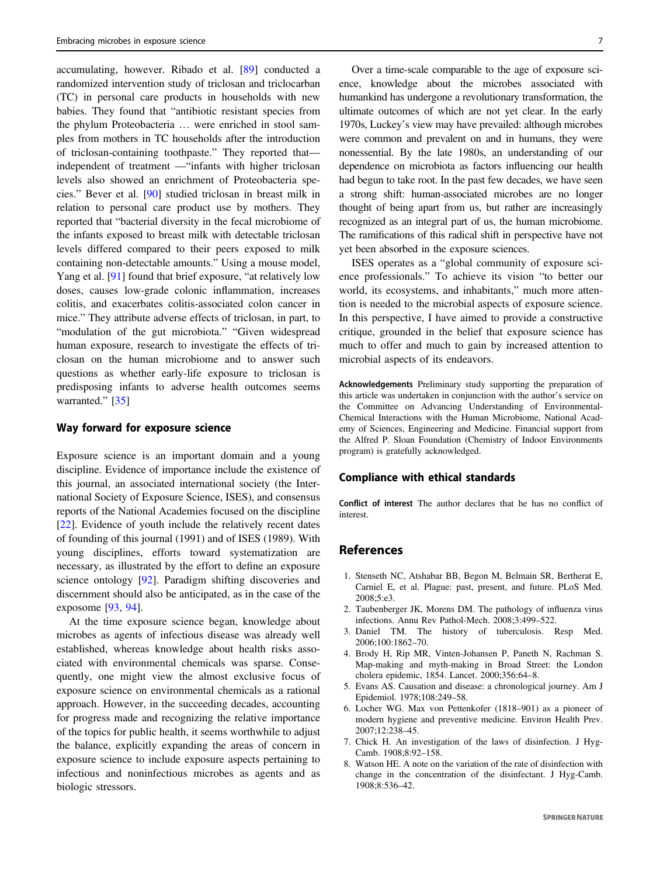<span id="page-6-0"></span>accumulating, however. Ribado et al. [[89\]](#page-8-0) conducted a randomized intervention study of triclosan and triclocarban (TC) in personal care products in households with new babies. They found that "antibiotic resistant species from the phylum Proteobacteria … were enriched in stool samples from mothers in TC households after the introduction of triclosan-containing toothpaste." They reported that independent of treatment —"infants with higher triclosan levels also showed an enrichment of Proteobacteria species." Bever et al. [[90\]](#page-8-0) studied triclosan in breast milk in relation to personal care product use by mothers. They reported that "bacterial diversity in the fecal microbiome of the infants exposed to breast milk with detectable triclosan levels differed compared to their peers exposed to milk containing non-detectable amounts." Using a mouse model, Yang et al. [[91\]](#page-8-0) found that brief exposure, "at relatively low doses, causes low-grade colonic inflammation, increases colitis, and exacerbates colitis-associated colon cancer in mice." They attribute adverse effects of triclosan, in part, to "modulation of the gut microbiota." "Given widespread human exposure, research to investigate the effects of triclosan on the human microbiome and to answer such questions as whether early-life exposure to triclosan is predisposing infants to adverse health outcomes seems warranted." [[35\]](#page-7-0)

### Way forward for exposure science

Exposure science is an important domain and a young discipline. Evidence of importance include the existence of this journal, an associated international society (the International Society of Exposure Science, ISES), and consensus reports of the National Academies focused on the discipline [\[22](#page-7-0)]. Evidence of youth include the relatively recent dates of founding of this journal (1991) and of ISES (1989). With young disciplines, efforts toward systematization are necessary, as illustrated by the effort to define an exposure science ontology [[92\]](#page-9-0). Paradigm shifting discoveries and discernment should also be anticipated, as in the case of the exposome [[93,](#page-9-0) [94\]](#page-9-0).

At the time exposure science began, knowledge about microbes as agents of infectious disease was already well established, whereas knowledge about health risks associated with environmental chemicals was sparse. Consequently, one might view the almost exclusive focus of exposure science on environmental chemicals as a rational approach. However, in the succeeding decades, accounting for progress made and recognizing the relative importance of the topics for public health, it seems worthwhile to adjust the balance, explicitly expanding the areas of concern in exposure science to include exposure aspects pertaining to infectious and noninfectious microbes as agents and as biologic stressors.

Over a time-scale comparable to the age of exposure science, knowledge about the microbes associated with humankind has undergone a revolutionary transformation, the ultimate outcomes of which are not yet clear. In the early 1970s, Luckey's view may have prevailed: although microbes were common and prevalent on and in humans, they were nonessential. By the late 1980s, an understanding of our dependence on microbiota as factors influencing our health had begun to take root. In the past few decades, we have seen a strong shift: human-associated microbes are no longer thought of being apart from us, but rather are increasingly recognized as an integral part of us, the human microbiome. The ramifications of this radical shift in perspective have not yet been absorbed in the exposure sciences.

ISES operates as a "global community of exposure science professionals." To achieve its vision "to better our world, its ecosystems, and inhabitants," much more attention is needed to the microbial aspects of exposure science. In this perspective, I have aimed to provide a constructive critique, grounded in the belief that exposure science has much to offer and much to gain by increased attention to microbial aspects of its endeavors.

Acknowledgements Preliminary study supporting the preparation of this article was undertaken in conjunction with the author's service on the Committee on Advancing Understanding of Environmental-Chemical Interactions with the Human Microbiome, National Academy of Sciences, Engineering and Medicine. Financial support from the Alfred P. Sloan Foundation (Chemistry of Indoor Environments program) is gratefully acknowledged.

#### Compliance with ethical standards

Conflict of interest The author declares that he has no conflict of interest.

## References

- 1. Stenseth NC, Atshabar BB, Begon M, Belmain SR, Bertherat E, Carniel E, et al. Plague: past, present, and future. PLoS Med. 2008;5:e3.
- 2. Taubenberger JK, Morens DM. The pathology of influenza virus infections. Annu Rev Pathol-Mech. 2008;3:499–522.
- 3. Daniel TM. The history of tuberculosis. Resp Med. 2006;100:1862–70.
- 4. Brody H, Rip MR, Vinten-Johansen P, Paneth N, Rachman S. Map-making and myth-making in Broad Street: the London cholera epidemic, 1854. Lancet. 2000;356:64–8.
- 5. Evans AS. Causation and disease: a chronological journey. Am J Epidemiol. 1978;108:249–58.
- 6. Locher WG. Max von Pettenkofer (1818–901) as a pioneer of modern hygiene and preventive medicine. Environ Health Prev. 2007;12:238–45.
- 7. Chick H. An investigation of the laws of disinfection. J Hyg-Camb. 1908;8:92–158.
- 8. Watson HE. A note on the variation of the rate of disinfection with change in the concentration of the disinfectant. J Hyg-Camb. 1908;8:536–42.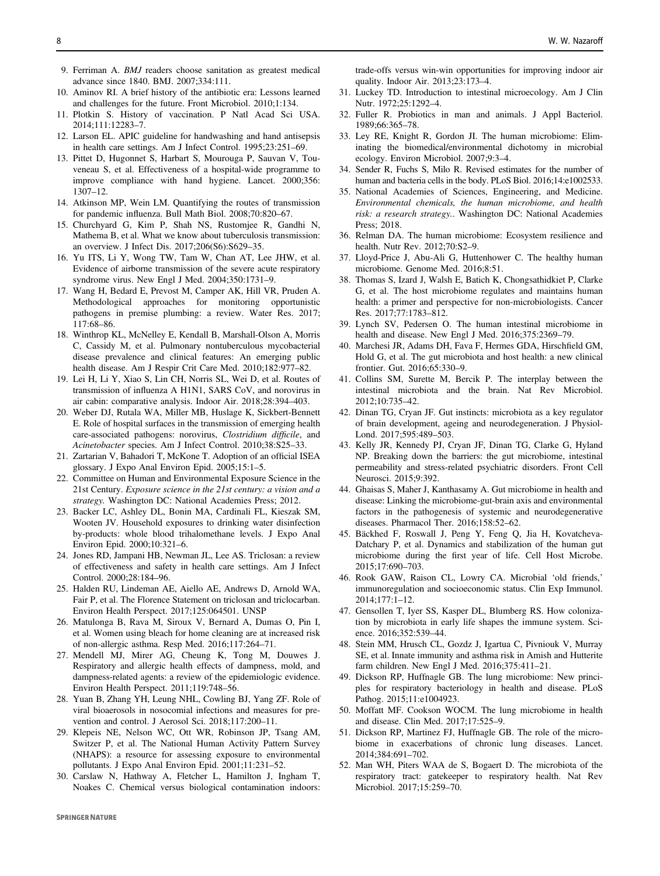- <span id="page-7-0"></span>9. Ferriman A. BMJ readers choose sanitation as greatest medical advance since 1840. BMJ. 2007;334:111.
- 10. Aminov RI. A brief history of the antibiotic era: Lessons learned and challenges for the future. Front Microbiol. 2010;1:134.
- 11. Plotkin S. History of vaccination. P Natl Acad Sci USA. 2014;111:12283–7.
- 12. Larson EL. APIC guideline for handwashing and hand antisepsis in health care settings. Am J Infect Control. 1995;23:251–69.
- 13. Pittet D, Hugonnet S, Harbart S, Mourouga P, Sauvan V, Touveneau S, et al. Effectiveness of a hospital-wide programme to improve compliance with hand hygiene. Lancet. 2000;356: 1307–12.
- 14. Atkinson MP, Wein LM. Quantifying the routes of transmission for pandemic influenza. Bull Math Biol. 2008;70:820–67.
- 15. Churchyard G, Kim P, Shah NS, Rustomjee R, Gandhi N, Mathema B, et al. What we know about tuberculosis transmission: an overview. J Infect Dis. 2017;206(S6):S629–35.
- 16. Yu ITS, Li Y, Wong TW, Tam W, Chan AT, Lee JHW, et al. Evidence of airborne transmission of the severe acute respiratory syndrome virus. New Engl J Med. 2004;350:1731–9.
- 17. Wang H, Bedard E, Prevost M, Camper AK, Hill VR, Pruden A. Methodological approaches for monitoring opportunistic pathogens in premise plumbing: a review. Water Res. 2017; 117:68–86.
- 18. Winthrop KL, McNelley E, Kendall B, Marshall-Olson A, Morris C, Cassidy M, et al. Pulmonary nontuberculous mycobacterial disease prevalence and clinical features: An emerging public health disease. Am J Respir Crit Care Med. 2010;182:977–82.
- 19. Lei H, Li Y, Xiao S, Lin CH, Norris SL, Wei D, et al. Routes of transmission of influenza A H1N1, SARS CoV, and norovirus in air cabin: comparative analysis. Indoor Air. 2018;28:394–403.
- 20. Weber DJ, Rutala WA, Miller MB, Huslage K, Sickbert-Bennett E. Role of hospital surfaces in the transmission of emerging health care-associated pathogens: norovirus, Clostridium difficile, and Acinetobacter species. Am J Infect Control. 2010;38:S25–33.
- 21. Zartarian V, Bahadori T, McKone T. Adoption of an official ISEA glossary. J Expo Anal Environ Epid. 2005;15:1–5.
- 22. Committee on Human and Environmental Exposure Science in the 21st Century. Exposure science in the 21st century: a vision and a strategy. Washington DC: National Academies Press; 2012.
- 23. Backer LC, Ashley DL, Bonin MA, Cardinali FL, Kieszak SM, Wooten JV. Household exposures to drinking water disinfection by-products: whole blood trihalomethane levels. J Expo Anal Environ Epid. 2000;10:321–6.
- 24. Jones RD, Jampani HB, Newman JL, Lee AS. Triclosan: a review of effectiveness and safety in health care settings. Am J Infect Control. 2000;28:184–96.
- 25. Halden RU, Lindeman AE, Aiello AE, Andrews D, Arnold WA, Fair P, et al. The Florence Statement on triclosan and triclocarban. Environ Health Perspect. 2017;125:064501. UNSP
- 26. Matulonga B, Rava M, Siroux V, Bernard A, Dumas O, Pin I, et al. Women using bleach for home cleaning are at increased risk of non-allergic asthma. Resp Med. 2016;117:264–71.
- 27. Mendell MJ, Mirer AG, Cheung K, Tong M, Douwes J. Respiratory and allergic health effects of dampness, mold, and dampness-related agents: a review of the epidemiologic evidence. Environ Health Perspect. 2011;119:748–56.
- 28. Yuan B, Zhang YH, Leung NHL, Cowling BJ, Yang ZF. Role of viral bioaerosols in nosocomial infections and measures for prevention and control. J Aerosol Sci. 2018;117:200–11.
- 29. Klepeis NE, Nelson WC, Ott WR, Robinson JP, Tsang AM, Switzer P, et al. The National Human Activity Pattern Survey (NHAPS): a resource for assessing exposure to environmental pollutants. J Expo Anal Environ Epid. 2001;11:231–52.
- 30. Carslaw N, Hathway A, Fletcher L, Hamilton J, Ingham T, Noakes C. Chemical versus biological contamination indoors:

trade-offs versus win-win opportunities for improving indoor air quality. Indoor Air. 2013;23:173–4.

- 31. Luckey TD. Introduction to intestinal microecology. Am J Clin Nutr. 1972;25:1292–4.
- 32. Fuller R. Probiotics in man and animals. J Appl Bacteriol. 1989;66:365–78.
- 33. Ley RE, Knight R, Gordon JI. The human microbiome: Eliminating the biomedical/environmental dichotomy in microbial ecology. Environ Microbiol. 2007;9:3–4.
- 34. Sender R, Fuchs S, Milo R. Revised estimates for the number of human and bacteria cells in the body. PLoS Biol. 2016;14:e1002533.
- 35. National Academies of Sciences, Engineering, and Medicine. Environmental chemicals, the human microbiome, and health risk: a research strategy.. Washington DC: National Academies Press; 2018.
- 36. Relman DA. The human microbiome: Ecosystem resilience and health. Nutr Rev. 2012;70:S2–9.
- 37. Lloyd-Price J, Abu-Ali G, Huttenhower C. The healthy human microbiome. Genome Med. 2016;8:51.
- 38. Thomas S, Izard J, Walsh E, Batich K, Chongsathidkiet P, Clarke G, et al. The host microbiome regulates and maintains human health: a primer and perspective for non-microbiologists. Cancer Res. 2017;77:1783–812.
- 39. Lynch SV, Pedersen O. The human intestinal microbiome in health and disease. New Engl J Med. 2016;375:2369–79.
- 40. Marchesi JR, Adams DH, Fava F, Hermes GDA, Hirschfield GM, Hold G, et al. The gut microbiota and host health: a new clinical frontier. Gut. 2016;65:330–9.
- 41. Collins SM, Surette M, Bercik P. The interplay between the intestinal microbiota and the brain. Nat Rev Microbiol. 2012;10:735–42.
- 42. Dinan TG, Cryan JF. Gut instincts: microbiota as a key regulator of brain development, ageing and neurodegeneration. J Physiol-Lond. 2017;595:489–503.
- 43. Kelly JR, Kennedy PJ, Cryan JF, Dinan TG, Clarke G, Hyland NP. Breaking down the barriers: the gut microbiome, intestinal permeability and stress-related psychiatric disorders. Front Cell Neurosci. 2015;9:392.
- 44. Ghaisas S, Maher J, Kanthasamy A. Gut microbiome in health and disease: Linking the microbiome-gut-brain axis and environmental factors in the pathogenesis of systemic and neurodegenerative diseases. Pharmacol Ther. 2016;158:52–62.
- 45. Bäckhed F, Roswall J, Peng Y, Feng Q, Jia H, Kovatcheva-Datchary P, et al. Dynamics and stabilization of the human gut microbiome during the first year of life. Cell Host Microbe. 2015;17:690–703.
- 46. Rook GAW, Raison CL, Lowry CA. Microbial 'old friends,' immunoregulation and socioeconomic status. Clin Exp Immunol. 2014;177:1–12.
- 47. Gensollen T, Iyer SS, Kasper DL, Blumberg RS. How colonization by microbiota in early life shapes the immune system. Science. 2016;352:539–44.
- 48. Stein MM, Hrusch CL, Gozdz J, Igartua C, Pivniouk V, Murray SE, et al. Innate immunity and asthma risk in Amish and Hutterite farm children. New Engl J Med. 2016;375:411–21.
- 49. Dickson RP, Huffnagle GB. The lung microbiome: New principles for respiratory bacteriology in health and disease. PLoS Pathog. 2015;11:e1004923.
- 50. Moffatt MF. Cookson WOCM. The lung microbiome in health and disease. Clin Med. 2017;17:525–9.
- 51. Dickson RP, Martinez FJ, Huffnagle GB. The role of the microbiome in exacerbations of chronic lung diseases. Lancet. 2014;384:691–702.
- 52. Man WH, Piters WAA de S, Bogaert D. The microbiota of the respiratory tract: gatekeeper to respiratory health. Nat Rev Microbiol. 2017;15:259–70.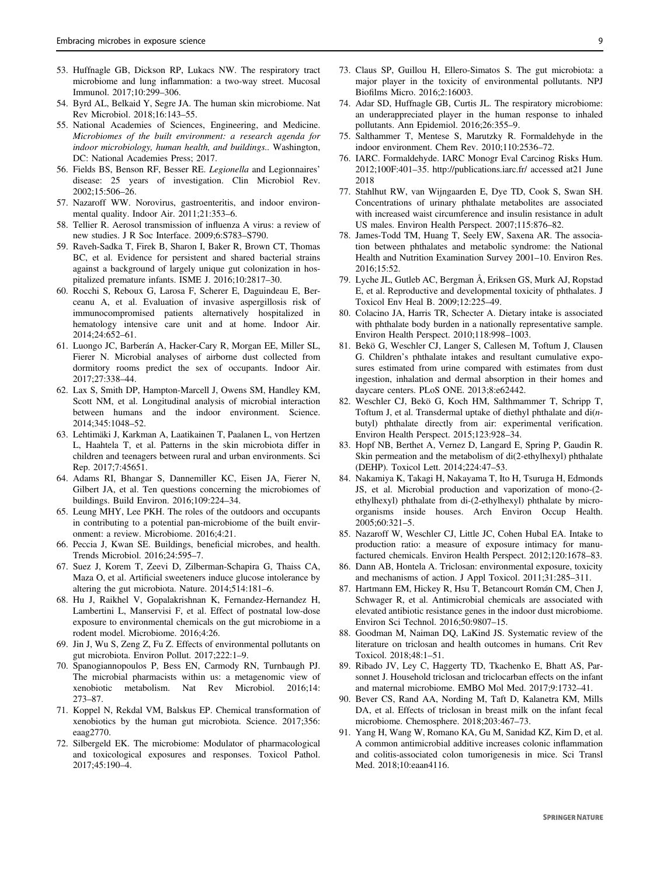- <span id="page-8-0"></span>53. Huffnagle GB, Dickson RP, Lukacs NW. The respiratory tract microbiome and lung inflammation: a two-way street. Mucosal Immunol. 2017;10:299–306.
- 54. Byrd AL, Belkaid Y, Segre JA. The human skin microbiome. Nat Rev Microbiol. 2018;16:143–55.
- 55. National Academies of Sciences, Engineering, and Medicine. Microbiomes of the built environment: a research agenda for indoor microbiology, human health, and buildings.. Washington, DC: National Academies Press; 2017.
- 56. Fields BS, Benson RF, Besser RE. Legionella and Legionnaires' disease: 25 years of investigation. Clin Microbiol Rev. 2002;15:506–26.
- 57. Nazaroff WW. Norovirus, gastroenteritis, and indoor environmental quality. Indoor Air. 2011;21:353–6.
- 58. Tellier R. Aerosol transmission of influenza A virus: a review of new studies. J R Soc Interface. 2009;6:S783–S790.
- 59. Raveh-Sadka T, Firek B, Sharon I, Baker R, Brown CT, Thomas BC, et al. Evidence for persistent and shared bacterial strains against a background of largely unique gut colonization in hospitalized premature infants. ISME J. 2016;10:2817–30.
- 60. Rocchi S, Reboux G, Larosa F, Scherer E, Daguindeau E, Berceanu A, et al. Evaluation of invasive aspergillosis risk of immunocompromised patients alternatively hospitalized in hematology intensive care unit and at home. Indoor Air. 2014;24:652–61.
- 61. Luongo JC, Barberán A, Hacker-Cary R, Morgan EE, Miller SL, Fierer N. Microbial analyses of airborne dust collected from dormitory rooms predict the sex of occupants. Indoor Air. 2017;27:338–44.
- 62. Lax S, Smith DP, Hampton-Marcell J, Owens SM, Handley KM, Scott NM, et al. Longitudinal analysis of microbial interaction between humans and the indoor environment. Science. 2014;345:1048–52.
- 63. Lehtimäki J, Karkman A, Laatikainen T, Paalanen L, von Hertzen L, Haahtela T, et al. Patterns in the skin microbiota differ in children and teenagers between rural and urban environments. Sci Rep. 2017;7:45651.
- 64. Adams RI, Bhangar S, Dannemiller KC, Eisen JA, Fierer N, Gilbert JA, et al. Ten questions concerning the microbiomes of buildings. Build Environ. 2016;109:224–34.
- 65. Leung MHY, Lee PKH. The roles of the outdoors and occupants in contributing to a potential pan-microbiome of the built environment: a review. Microbiome. 2016;4:21.
- 66. Peccia J, Kwan SE. Buildings, beneficial microbes, and health. Trends Microbiol. 2016;24:595–7.
- 67. Suez J, Korem T, Zeevi D, Zilberman-Schapira G, Thaiss CA, Maza O, et al. Artificial sweeteners induce glucose intolerance by altering the gut microbiota. Nature. 2014;514:181–6.
- 68. Hu J, Raikhel V, Gopalakrishnan K, Fernandez-Hernandez H, Lambertini L, Manservisi F, et al. Effect of postnatal low-dose exposure to environmental chemicals on the gut microbiome in a rodent model. Microbiome. 2016;4:26.
- 69. Jin J, Wu S, Zeng Z, Fu Z. Effects of environmental pollutants on gut microbiota. Environ Pollut. 2017;222:1–9.
- 70. Spanogiannopoulos P, Bess EN, Carmody RN, Turnbaugh PJ. The microbial pharmacists within us: a metagenomic view of xenobiotic metabolism. Nat Rev Microbiol. 2016;14: 273–87.
- 71. Koppel N, Rekdal VM, Balskus EP. Chemical transformation of xenobiotics by the human gut microbiota. Science. 2017;356: eaag2770.
- 72. Silbergeld EK. The microbiome: Modulator of pharmacological and toxicological exposures and responses. Toxicol Pathol. 2017;45:190–4.
- 73. Claus SP, Guillou H, Ellero-Simatos S. The gut microbiota: a major player in the toxicity of environmental pollutants. NPJ Biofilms Micro. 2016;2:16003.
- 74. Adar SD, Huffnagle GB, Curtis JL. The respiratory microbiome: an underappreciated player in the human response to inhaled pollutants. Ann Epidemiol. 2016;26:355–9.
- 75. Salthammer T, Mentese S, Marutzky R. Formaldehyde in the indoor environment. Chem Rev. 2010;110:2536–72.
- 76. IARC. Formaldehyde. IARC Monogr Eval Carcinog Risks Hum. 2012;100F:401–35. http://publications.iarc.fr/ accessed at21 June 2018
- 77. Stahlhut RW, van Wijngaarden E, Dye TD, Cook S, Swan SH. Concentrations of urinary phthalate metabolites are associated with increased waist circumference and insulin resistance in adult US males. Environ Health Perspect. 2007;115:876–82.
- 78. James-Todd TM, Huang T, Seely EW, Saxena AR. The association between phthalates and metabolic syndrome: the National Health and Nutrition Examination Survey 2001–10. Environ Res. 2016;15:52.
- 79. Lyche JL, Gutleb AC, Bergman Å, Eriksen GS, Murk AJ, Ropstad E, et al. Reproductive and developmental toxicity of phthalates. J Toxicol Env Heal B. 2009;12:225–49.
- 80. Colacino JA, Harris TR, Schecter A. Dietary intake is associated with phthalate body burden in a nationally representative sample. Environ Health Perspect. 2010;118:998–1003.
- 81. Bekö G, Weschler CJ, Langer S, Callesen M, Toftum J, Clausen G. Children's phthalate intakes and resultant cumulative exposures estimated from urine compared with estimates from dust ingestion, inhalation and dermal absorption in their homes and daycare centers. PLoS ONE. 2013;8:e62442.
- 82. Weschler CJ, Bekö G, Koch HM, Salthmammer T, Schripp T, Toftum J, et al. Transdermal uptake of diethyl phthalate and  $di(n$ butyl) phthalate directly from air: experimental verification. Environ Health Perspect. 2015;123:928–34.
- 83. Hopf NB, Berthet A, Vernez D, Langard E, Spring P, Gaudin R. Skin permeation and the metabolism of di(2-ethylhexyl) phthalate (DEHP). Toxicol Lett. 2014;224:47–53.
- 84. Nakamiya K, Takagi H, Nakayama T, Ito H, Tsuruga H, Edmonds JS, et al. Microbial production and vaporization of mono-(2 ethylhexyl) phthalate from di-(2-ethylhexyl) phthalate by microorganisms inside houses. Arch Environ Occup Health. 2005;60:321–5.
- 85. Nazaroff W, Weschler CJ, Little JC, Cohen Hubal EA. Intake to production ratio: a measure of exposure intimacy for manufactured chemicals. Environ Health Perspect. 2012;120:1678–83.
- 86. Dann AB, Hontela A. Triclosan: environmental exposure, toxicity and mechanisms of action. J Appl Toxicol. 2011;31:285–311.
- 87. Hartmann EM, Hickey R, Hsu T, Betancourt Román CM, Chen J, Schwager R, et al. Antimicrobial chemicals are associated with elevated antibiotic resistance genes in the indoor dust microbiome. Environ Sci Technol. 2016;50:9807–15.
- 88. Goodman M, Naiman DQ, LaKind JS. Systematic review of the literature on triclosan and health outcomes in humans. Crit Rev Toxicol. 2018;48:1–51.
- 89. Ribado JV, Ley C, Haggerty TD, Tkachenko E, Bhatt AS, Parsonnet J. Household triclosan and triclocarban effects on the infant and maternal microbiome. EMBO Mol Med. 2017;9:1732–41.
- 90. Bever CS, Rand AA, Nording M, Taft D, Kalanetra KM, Mills DA, et al. Effects of triclosan in breast milk on the infant fecal microbiome. Chemosphere. 2018;203:467–73.
- 91. Yang H, Wang W, Romano KA, Gu M, Sanidad KZ, Kim D, et al. A common antimicrobial additive increases colonic inflammation and colitis-associated colon tumorigenesis in mice. Sci Transl Med. 2018;10:eaan4116.